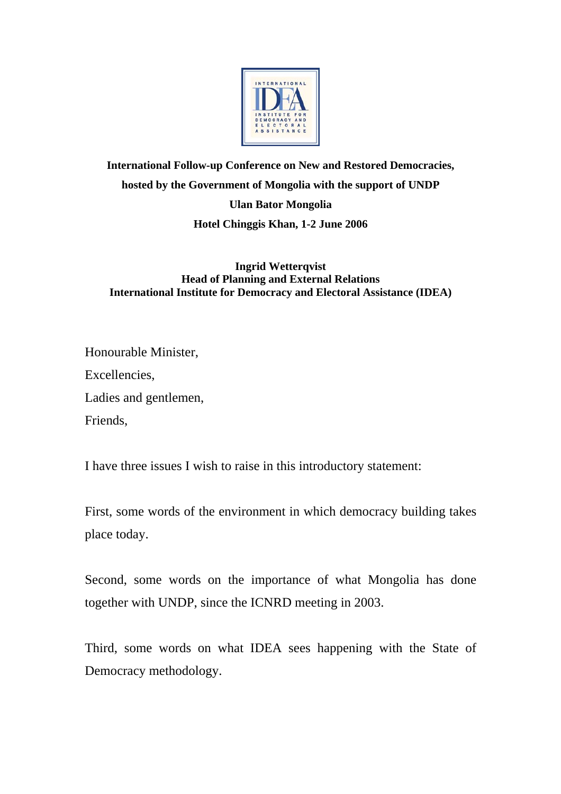

## **International Follow-up Conference on New and Restored Democracies, hosted by the Government of Mongolia with the support of UNDP Ulan Bator Mongolia Hotel Chinggis Khan, 1-2 June 2006**

## **Ingrid Wetterqvist Head of Planning and External Relations International Institute for Democracy and Electoral Assistance (IDEA)**

Honourable Minister, Excellencies, Ladies and gentlemen, Friends,

I have three issues I wish to raise in this introductory statement:

First, some words of the environment in which democracy building takes place today.

Second, some words on the importance of what Mongolia has done together with UNDP, since the ICNRD meeting in 2003.

Third, some words on what IDEA sees happening with the State of Democracy methodology.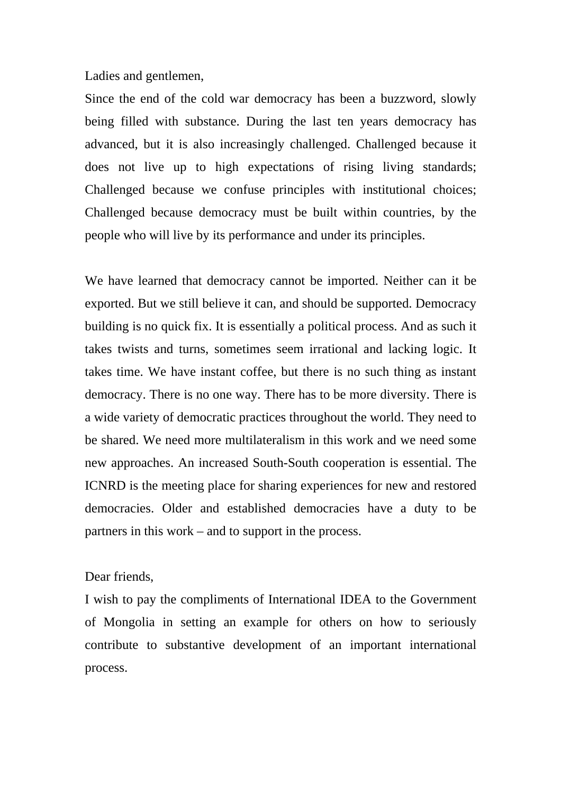Ladies and gentlemen,

Since the end of the cold war democracy has been a buzzword, slowly being filled with substance. During the last ten years democracy has advanced, but it is also increasingly challenged. Challenged because it does not live up to high expectations of rising living standards; Challenged because we confuse principles with institutional choices; Challenged because democracy must be built within countries, by the people who will live by its performance and under its principles.

We have learned that democracy cannot be imported. Neither can it be exported. But we still believe it can, and should be supported. Democracy building is no quick fix. It is essentially a political process. And as such it takes twists and turns, sometimes seem irrational and lacking logic. It takes time. We have instant coffee, but there is no such thing as instant democracy. There is no one way. There has to be more diversity. There is a wide variety of democratic practices throughout the world. They need to be shared. We need more multilateralism in this work and we need some new approaches. An increased South-South cooperation is essential. The ICNRD is the meeting place for sharing experiences for new and restored democracies. Older and established democracies have a duty to be partners in this work – and to support in the process.

## Dear friends,

I wish to pay the compliments of International IDEA to the Government of Mongolia in setting an example for others on how to seriously contribute to substantive development of an important international process.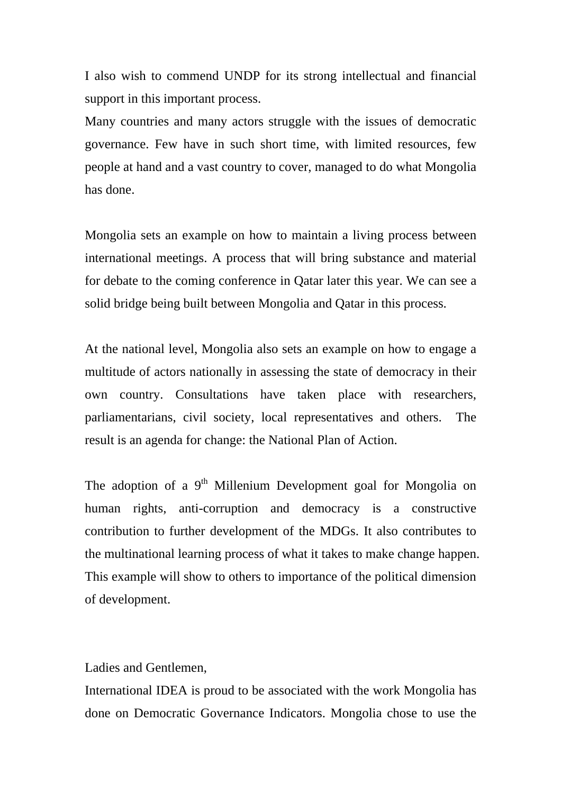I also wish to commend UNDP for its strong intellectual and financial support in this important process.

Many countries and many actors struggle with the issues of democratic governance. Few have in such short time, with limited resources, few people at hand and a vast country to cover, managed to do what Mongolia has done.

Mongolia sets an example on how to maintain a living process between international meetings. A process that will bring substance and material for debate to the coming conference in Qatar later this year. We can see a solid bridge being built between Mongolia and Qatar in this process.

At the national level, Mongolia also sets an example on how to engage a multitude of actors nationally in assessing the state of democracy in their own country. Consultations have taken place with researchers, parliamentarians, civil society, local representatives and others. The result is an agenda for change: the National Plan of Action.

The adoption of a  $9<sup>th</sup>$  Millenium Development goal for Mongolia on human rights, anti-corruption and democracy is a constructive contribution to further development of the MDGs. It also contributes to the multinational learning process of what it takes to make change happen. This example will show to others to importance of the political dimension of development.

Ladies and Gentlemen,

International IDEA is proud to be associated with the work Mongolia has done on Democratic Governance Indicators. Mongolia chose to use the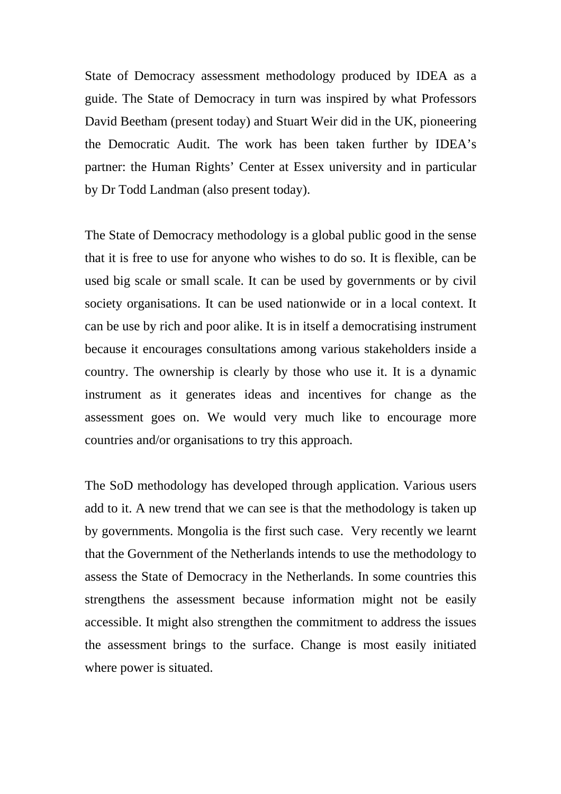State of Democracy assessment methodology produced by IDEA as a guide. The State of Democracy in turn was inspired by what Professors David Beetham (present today) and Stuart Weir did in the UK, pioneering the Democratic Audit. The work has been taken further by IDEA's partner: the Human Rights' Center at Essex university and in particular by Dr Todd Landman (also present today).

The State of Democracy methodology is a global public good in the sense that it is free to use for anyone who wishes to do so. It is flexible, can be used big scale or small scale. It can be used by governments or by civil society organisations. It can be used nationwide or in a local context. It can be use by rich and poor alike. It is in itself a democratising instrument because it encourages consultations among various stakeholders inside a country. The ownership is clearly by those who use it. It is a dynamic instrument as it generates ideas and incentives for change as the assessment goes on. We would very much like to encourage more countries and/or organisations to try this approach.

The SoD methodology has developed through application. Various users add to it. A new trend that we can see is that the methodology is taken up by governments. Mongolia is the first such case. Very recently we learnt that the Government of the Netherlands intends to use the methodology to assess the State of Democracy in the Netherlands. In some countries this strengthens the assessment because information might not be easily accessible. It might also strengthen the commitment to address the issues the assessment brings to the surface. Change is most easily initiated where power is situated.